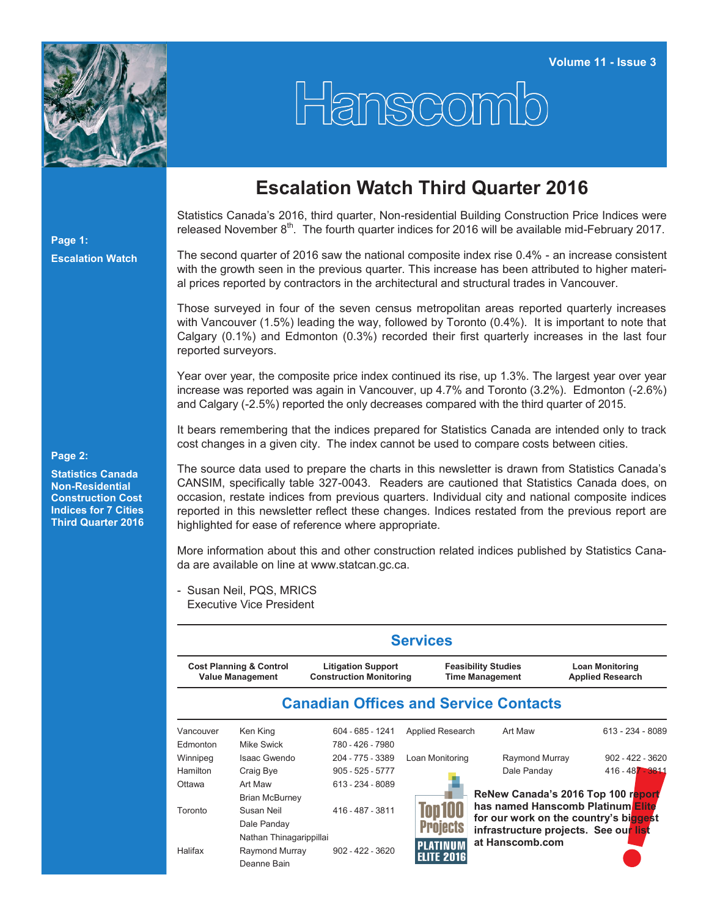

**Page 1:**

**Escalation Watch**

## Hanscomb

## **Escalation Watch Third Quarter 2016**

Statistics Canada's 2016, third quarter, Non-residential Building Construction Price Indices were released November  $8<sup>th</sup>$ . The fourth quarter indices for 2016 will be available mid-February 2017.

The second quarter of 2016 saw the national composite index rise 0.4% - an increase consistent with the growth seen in the previous quarter. This increase has been attributed to higher material prices reported by contractors in the architectural and structural trades in Vancouver.

Those surveyed in four of the seven census metropolitan areas reported quarterly increases with Vancouver (1.5%) leading the way, followed by Toronto (0.4%). It is important to note that Calgary (0.1%) and Edmonton (0.3%) recorded their first quarterly increases in the last four reported surveyors.

Year over year, the composite price index continued its rise, up 1.3%. The largest year over year increase was reported was again in Vancouver, up 4.7% and Toronto (3.2%). Edmonton (-2.6%) and Calgary (-2.5%) reported the only decreases compared with the third quarter of 2015.

It bears remembering that the indices prepared for Statistics Canada are intended only to track cost changes in a given city. The index cannot be used to compare costs between cities.

The source data used to prepare the charts in this newsletter is drawn from Statistics Canada's CANSIM, specifically table 327-0043. Readers are cautioned that Statistics Canada does, on occasion, restate indices from previous quarters. Individual city and national composite indices reported in this newsletter reflect these changes. Indices restated from the previous report are highlighted for ease of reference where appropriate.

More information about this and other construction related indices published by Statistics Canada are available on line at [www.statcan.gc.ca.](http://www.statcan.gc.ca)

- Susan Neil, PQS, MRICS Executive Vice President

|                                                               |                         |                                                             | <b>Services</b>               |                                                      |                                                   |  |  |  |
|---------------------------------------------------------------|-------------------------|-------------------------------------------------------------|-------------------------------|------------------------------------------------------|---------------------------------------------------|--|--|--|
| <b>Cost Planning &amp; Control</b><br><b>Value Management</b> |                         | <b>Litigation Support</b><br><b>Construction Monitoring</b> |                               | <b>Feasibility Studies</b><br><b>Time Management</b> | <b>Loan Monitoring</b><br><b>Applied Research</b> |  |  |  |
|                                                               |                         |                                                             |                               | <b>Canadian Offices and Service Contacts</b>         |                                                   |  |  |  |
| Vancouver                                                     | Ken King                | 604 - 685 - 1241                                            | Applied Research              | Art Maw                                              | $613 - 234 - 8089$                                |  |  |  |
| Edmonton                                                      | Mike Swick              | 780 - 426 - 7980                                            |                               |                                                      |                                                   |  |  |  |
| Winnipeg                                                      | Isaac Gwendo            | 204 - 775 - 3389                                            | Loan Monitoring               | Raymond Murray                                       | $902 - 422 - 3620$                                |  |  |  |
| Hamilton                                                      | Craig Bye               | $905 - 525 - 5777$                                          |                               | Dale Panday                                          | 416 - 487 - 3811                                  |  |  |  |
| Ottawa                                                        | Art Maw                 | 613 - 234 - 8089                                            |                               |                                                      |                                                   |  |  |  |
|                                                               | <b>Brian McBurney</b>   |                                                             |                               |                                                      | ReNew Canada's 2016 Top 100 report                |  |  |  |
| Toronto                                                       | Susan Neil              | 416 - 487 - 3811                                            | Top 100                       |                                                      | has named Hanscomb Platinum Elite                 |  |  |  |
|                                                               | Dale Panday             |                                                             | <b>Projects</b>               | infrastructure projects. See our list                | for our work on the country's biggest             |  |  |  |
|                                                               | Nathan Thinagarippillai |                                                             |                               | at Hanscomb.com                                      |                                                   |  |  |  |
| Halifax                                                       | Raymond Murray          | $902 - 422 - 3620$                                          | PLATINUM<br><b>ELITE 2016</b> |                                                      |                                                   |  |  |  |
|                                                               | Deanne Bain             |                                                             |                               |                                                      |                                                   |  |  |  |

**Statistics Canada Non-Residential Construction Cost Indices for 7 Cities Third Quarter 2016**

**Page 2:**